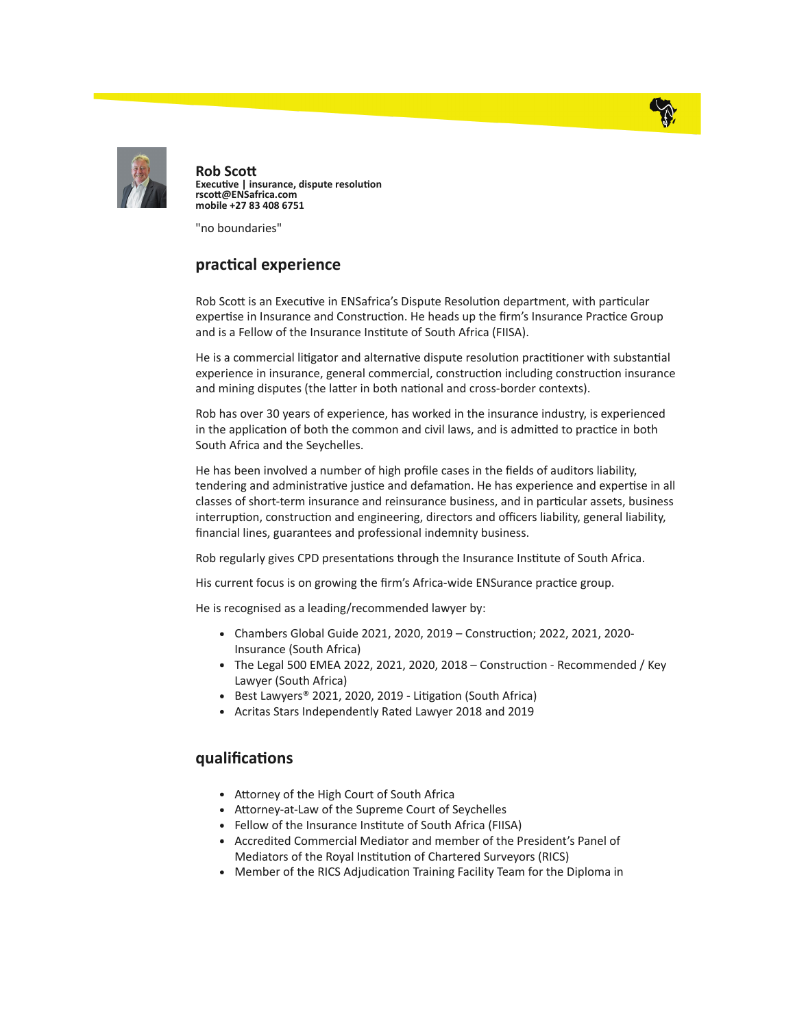



Rob Sco Executive | insurance, dispute resolution rscott@ENSafrica.com mobile +27 83 408 6751

"no boundaries"

## practical experience

Rob Scott is an Executive in ENSafrica's Dispute Resolution department, with particular expertise in Insurance and Construction. He heads up the firm's Insurance Practice Group and is a Fellow of the Insurance Institute of South Africa (FIISA).

He is a commercial litigator and alternative dispute resolution practitioner with substantial experience in insurance, general commercial, construction including construction insurance and mining disputes (the latter in both national and cross-border contexts).

Rob has over 30 years of experience, has worked in the insurance industry, is experienced in the application of both the common and civil laws, and is admitted to practice in both South Africa and the Seychelles.

He has been involved a number of high profile cases in the fields of auditors liability, tendering and administrative justice and defamation. He has experience and expertise in all classes of short-term insurance and reinsurance business, and in particular assets, business interruption, construction and engineering, directors and officers liability, general liability, financial lines, guarantees and professional indemnity business.

Rob regularly gives CPD presentations through the Insurance Institute of South Africa.

His current focus is on growing the firm's Africa-wide ENSurance practice group.

He is recognised as a leading/recommended lawyer by:

- Chambers Global Guide 2021, 2020, 2019 Construction; 2022, 2021, 2020-Insurance (South Africa)
- The Legal 500 EMEA 2022, 2021, 2020, 2018 Construction Recommended / Key Lawyer (South Africa)
- Best Lawyers® 2021, 2020, 2019 Litigation (South Africa)
- Acritas Stars Independently Rated Lawyer 2018 and 2019

## qualifications

- Attorney of the High Court of South Africa
- Attorney-at-Law of the Supreme Court of Seychelles
- Fellow of the Insurance Institute of South Africa (FIISA)
- Accredited Commercial Mediator and member of the President's Panel of Mediators of the Royal Institution of Chartered Surveyors (RICS)
- Member of the RICS Adjudication Training Facility Team for the Diploma in